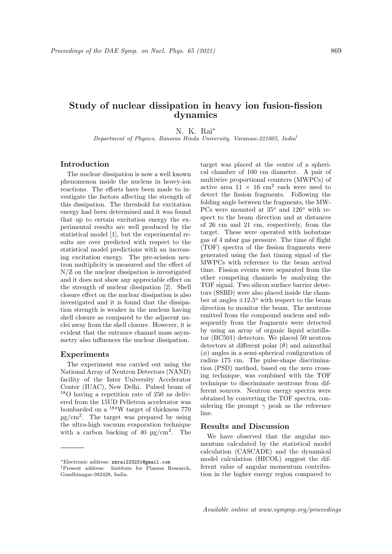# Study of nuclear dissipation in heavy ion fusion-fission dynamics

N. K. Rai<sup>∗</sup>

Department of Physics, Banaras Hindu University, Varanasi-221005, India†

## Introduction

The nuclear dissipation is now a well known phenomenon inside the nucleus in heavy-ion reactions. The efforts have been made to investigate the factors affecting the strength of this dissipation. The threshold for excitation energy had been determined and it was found that up to certain excitation energy the experimental results are well produced by the statistical model [1], but the experimental results are over predicted with respect to the statistical model predictions with an increasing excitation energy. The pre-scission neutron multiplicity is measured and the effect of N/Z on the nuclear dissipation is investigated and it does not show any appreciable effect on the strength of nuclear dissipation [2]. Shell closure effect on the nuclear dissipation is also investigated and it is found that the dissipation strength is weaker in the nucleus having shell closure as compared to the adjacent nuclei away from the shell closure. However, it is evident that the entrance channel mass asymmetry also influences the nuclear dissipation.

#### Experiments

The experiment was carried out using the National Array of Neutron Detectors (NAND) facility of the Inter University Accelerator Center (IUAC), New Delhi. Pulsed beam of <sup>18</sup>O having a repetition rate of 250 ns delivered from the 15UD Pelletron accelerator was bombarded on a <sup>184</sup>W target of thickness 770 µg/cm<sup>2</sup> . The target was prepared by using the ultra-high vacuum evaporation technique with a carbon backing of 40  $\mu$ g/cm<sup>2</sup>. The

target was placed at the center of a spherical chamber of 100 cm diameter. A pair of multiwire proportional counters (MWPCs) of active area  $11 \times 16$  cm<sup>2</sup> each were used to detect the fission fragments. Following the folding angle between the fragments, the MW-PCs were mounted at  $35^{\circ}$  and  $126^{\circ}$  with respect to the beam direction and at distances of 26 cm and 21 cm, respectively, from the target. These were operated with isobutane gas of 4 mbar gas pressure. The time of flight (TOF) spectra of the fission fragments were generated using the fast timing signal of the MWPCs with reference to the beam arrival time. Fission events were separated from the other competing channels by analyzing the TOF signal. Two silicon surface barrier detectors (SSBD) were also placed inside the chamber at angles  $\pm 12.5^{\circ}$  with respect to the beam direction to monitor the beam. The neutrons emitted from the compound nucleus and subsequently from the fragments were detected by using an array of organic liquid scintillator (BC501) detectors. We placed 50 neutron detectors at different polar  $(\theta)$  and azimuthal  $(\phi)$  angles in a semi-spherical configuration of radius 175 cm. The pulse-shape discrimination (PSD) method, based on the zero crossing technique, was combined with the TOF technique to discriminate neutrons from different sources. Neutron energy spectra were obtained by converting the TOF spectra, considering the prompt  $\gamma$  peak as the reference line.

### Results and Discussion

We have observed that the angular momentum calculated by the statistical model calculation (CASCADE) and the dynamical model calculation (HICOL) suggest the different value of angular momentum contribution in the higher energy region compared to

<sup>∗</sup>Electronic address: nkrai233231@gmail.com

<sup>†</sup>Present address: Institute for Plasma Research, Gandhinagar-382428, India.